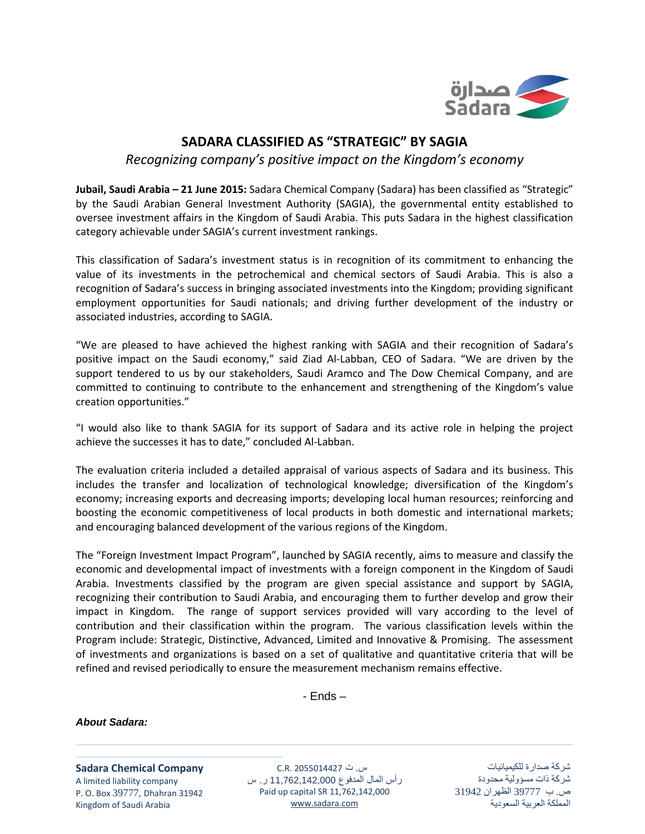

## **SADARA CLASSIFIED AS "STRATEGIC" BY SAGIA**

*Recognizing company's positive impact on the Kingdom's economy*

**Jubail, Saudi Arabia – 21 June 2015:** Sadara Chemical Company (Sadara) has been classified as "Strategic" by the Saudi Arabian General Investment Authority (SAGIA), the governmental entity established to oversee investment affairs in the Kingdom of Saudi Arabia. This puts Sadara in the highest classification category achievable under SAGIA's current investment rankings.

This classification of Sadara's investment status is in recognition of its commitment to enhancing the value of its investments in the petrochemical and chemical sectors of Saudi Arabia. This is also a recognition of Sadara's success in bringing associated investments into the Kingdom; providing significant employment opportunities for Saudi nationals; and driving further development of the industry or associated industries, according to SAGIA.

"We are pleased to have achieved the highest ranking with SAGIA and their recognition of Sadara's positive impact on the Saudi economy," said Ziad Al-Labban, CEO of Sadara. "We are driven by the support tendered to us by our stakeholders, Saudi Aramco and The Dow Chemical Company, and are committed to continuing to contribute to the enhancement and strengthening of the Kingdom's value creation opportunities."

"I would also like to thank SAGIA for its support of Sadara and its active role in helping the project achieve the successes it has to date," concluded Al-Labban.

The evaluation criteria included a detailed appraisal of various aspects of Sadara and its business. This includes the transfer and localization of technological knowledge; diversification of the Kingdom's economy; increasing exports and decreasing imports; developing local human resources; reinforcing and boosting the economic competitiveness of local products in both domestic and international markets; and encouraging balanced development of the various regions of the Kingdom.

The "Foreign Investment Impact Program", launched by SAGIA recently, aims to measure and classify the economic and developmental impact of investments with a foreign component in the Kingdom of Saudi Arabia. Investments classified by the program are given special assistance and support by SAGIA, recognizing their contribution to Saudi Arabia, and encouraging them to further develop and grow their impact in Kingdom. The range of support services provided will vary according to the level of contribution and their classification within the program. The various classification levels within the Program include: Strategic, Distinctive, Advanced, Limited and Innovative & Promising. The assessment of investments and organizations is based on a set of qualitative and quantitative criteria that will be refined and revised periodically to ensure the measurement mechanism remains effective.

- Ends –

*About Sadara:*

**Sadara Chemical Company** A limited liability company P. O. Box 39777, Dhahran 31942 Kingdom of Saudi Arabia

ـــــــــــــــــــــــــــــــــــــــــــــــــــــــــــــــــــــــــــــــــــــــــــــــ

س. ت 2055014427 .R.C رأس المال المدفوع 11,762,142,000 ر. س Paid up capital SR 11,762,142,000 [www.sadara.com](http://www.sadara.com/)

<u> 1989 - Andrea Santa Andrea Andrea Andrea Andrea Andrea Andrea Andrea Andrea Andrea Andrea Andrea Andrea Andr</u>

شركة صدارة للكيميائيات شركة ذات مسؤولية محدودة ص. ب 39777 الظهران 31942 المملكة العربية السعودية